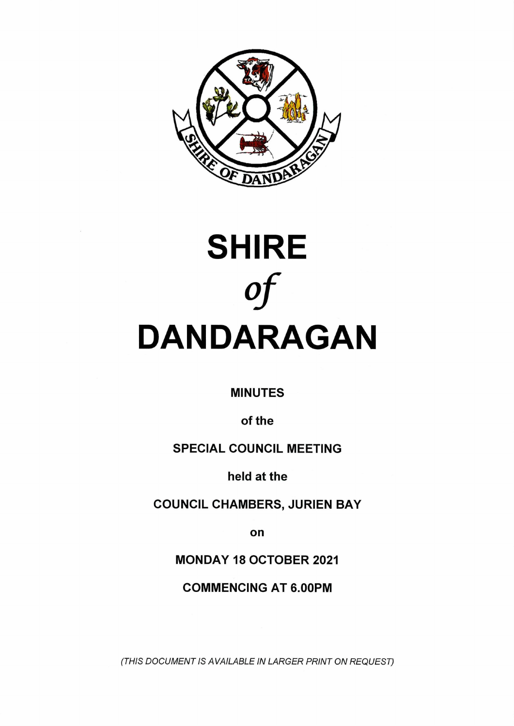



**MINUTES**

**of the**

**SPECIAL COUNCIL MEETING**

**held at the**

**COUNCIL CHAMBERS, JURIEN BAY**

**on**

**MONDAY 18 OCTOBER 2021**

**COMMENCING AT 6.00PM**

*(THIS DOCUMENT IS AVAILABLE IN LARGER PRINT ON REQUEST)*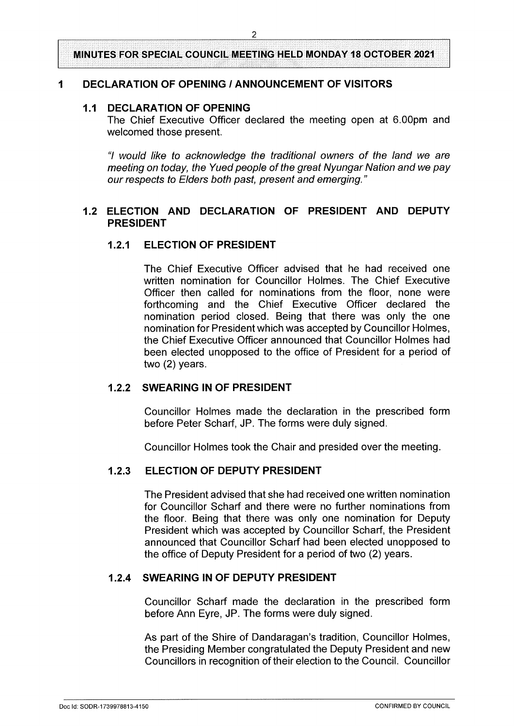**MINUTES FOR SPECIAL COUNCIL MEETING HELD MONDAY 18 OCTOBER 2021**

### **<sup>1</sup> DECLARATION OF OPENING / ANNOUNCEMENT OF VISITORS**

#### **1.1 DECLARATION OF OPENING**

The Chief Executive Officer declared the meeting open at 6.00pm and welcomed those present.

*"I would like to acknowledge the traditional owners of the land we are meeting on today, the Yued people ofthe great Nyungar Nation and we pay ourrespects to Elders both past, present and emerging***."**

### **1.2 ELECTION AND DECLARATION OF PRESIDENT AND DEPUTY PRESIDENT**

### **1.2.1 ELECTION OF PRESIDENT**

The Chief Executive Officer advised that he had received one written nomination for Councillor Holmes. The Chief Executive Officer then called for nominations from the floor, none were forthcoming and the Chief Executive Officer declared the nomination period closed. Being that there was only the one nomination for President which was accepted by Councillor Holmes, the Chief Executive Officer announced that Councillor Holmes had been elected unopposed to the office of President for a period of two (2) years.

### **1.2.2 SWEARING IN OF PRESIDENT**

Councillor Holmes made the declaration in the prescribed form before Peter Scharf, JP. The forms were duly signed.

Councillor Holmes took the Chair and presided over the meeting.

#### **1.2.3 ELECTION OF DEPUTY PRESIDENT**

The President advised that she had received one written nomination for Councillor Scharf and there were no further nominations from the floor. Being that there was only one nomination for Deputy President which was accepted by Councillor Scharf, the President announced that Councillor Scharf had been elected unopposed to the office of Deputy President for a period of two (2) years.

## **1.2.4 SWEARING IN OF DEPUTY PRESIDENT**

Councillor Scharf made the declaration in the prescribed form before Ann Eyre, JP. The forms were duly signed.

As part of the Shire of Dandaragan's tradition, Councillor Holmes, the Presiding Member congratulated the Deputy President and new Councillors in recognition of their election to the Council. Councillor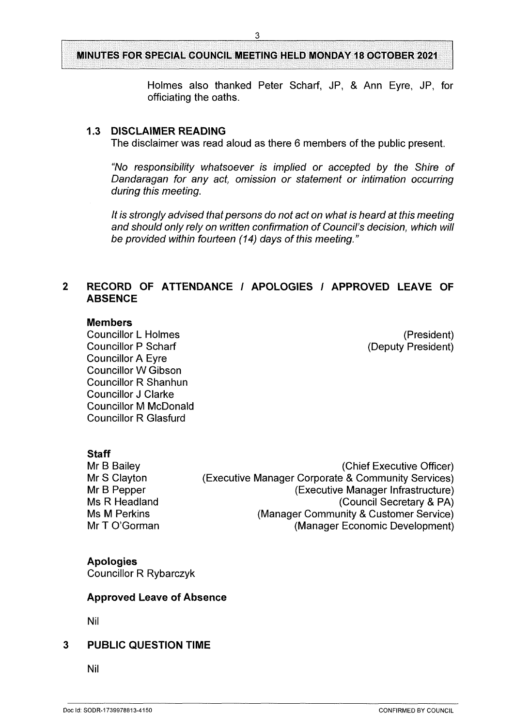## **MINUTES FOR SPECIAL COUNCIL MEETING HELD MONDAY 18 OCTOBER 2021**

3

Holmes also thanked Peter Scharf, JP, & Ann Eyre, JP, for officiating the oaths.

### **1.3 DISCLAIMER READING**

The disclaimer was read aloud as there 6 members of the public present.

*"No responsibility whatsoever is implied or accepted by the Shire of Dandaragan for any act, omission or statement or intimation occurring during this meeting.*

*It* is strongly advised that persons do not act on what is heard at this meeting *and should only rely on written confirmation of Council's decision, which will be provided within fourteen (14) days of this meeting."*

## **2 RECORD OF ATTENDANCE / APOLOGIES / APPROVED LEAVE OF ABSENCE**

#### **Members**

Councillor L Holmes (President) Councillor P Scharf (Deputy President) Councillor A Eyre Councillor W Gibson Councillor R Shanhun Councillor J Clarke Councillor M McDonald Councillor R Glasfurd

## **Staff**

Mr B Bailey Mr S Clayton Mr B Pepper Ms R Headland Ms M Perkins Mr T O'Gorman

(Chief Executive Officer) (Executive Manager Corporate & Community Services) (Executive Manager Infrastructure) (Council Secretary & PA) (Manager Community & Customer Service) (Manager Economic Development)

### **Apologies**

Councillor R Rybarczyk

### **Approved Leave of Absence**

Nil

### **3 PUBLIC QUESTION TIME**

Nil